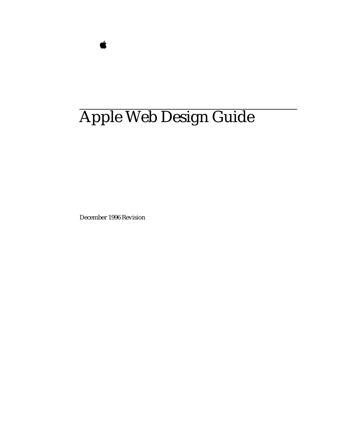# Apple Web Design Guide

December 1996 Revision

Í.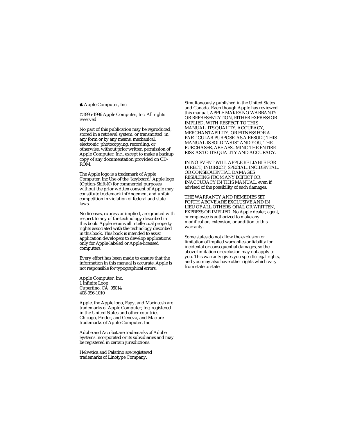#### Apple Computer, Inc

©1995-1996 Apple Computer, Inc. All rights reserved.

No part of this publication may be reproduced, stored in a retrieval system, or transmitted, in any form or by any means, mechanical, electronic, photocopying, recording, or otherwise, without prior written permission of Apple Computer, Inc., except to make a backup copy of any documentation provided on CD-ROM.

The Apple logo is a trademark of Apple Computer, Inc Use of the "keyboard" Apple logo (Option-Shift-K) for commercial purposes without the prior written consent of Apple may constitute trademark infringement and unfair competition in violation of federal and state laws.

No licenses, express or implied, are granted with respect to any of the technology described in this book. Apple retains all intellectual property rights associated with the technology described in this book. This book is intended to assist application developers to develop applications only for Apple-labeled or Apple-licensed computers.

Every effort has been made to ensure that the information in this manual is accurate. Apple is not responsible for typographical errors.

Apple Computer, Inc. 1 Infinite Loop Cupertino, CA 95014 408-996-1010

Apple, the Apple logo, Espy, and Macintosh are trademarks of Apple Computer, Inc, registered in the United States and other countries. Chicago, Finder, and Geneva, and Mac are trademarks of Apple Computer, Inc

Adobe and Acrobat are trademarks of Adobe Systems Incorporated or its subsidiaries and may be registered in certain jurisdictions.

Helvetica and Palatino are registered trademarks of Linotype Company.

Simultaneously published in the United States and Canada. Even though Apple has reviewed this manual, APPLE MAKES NO WARRANTY OR REPRESENTATION, EITHER EXPRESS OR IMPLIED, WITH RESPECT TO THIS MANUAL, ITS QUALITY, ACCURACY, MERCHANTABILITY, OR FITNESS FOR A PARTICULAR PURPOSE. AS A RESULT, THIS MANUAL IS SOLD "AS IS" AND YOU, THE PURCHASER, ARE ASSUMING THE ENTIRE RISK AS TO ITS QUALITY AND ACCURACY.

IN NO EVENT WILL APPLE BE LIABLE FOR DIRECT, INDIRECT, SPECIAL, INCIDENTAL, OR CONSEQUENTIAL DAMAGES RESULTING FROM ANY DEFECT OR INACCURACY IN THIS MANUAL, even if advised of the possibility of such damages.

THE WARRANTY AND REMEDIES SET FORTH ABOVE ARE EXCLUSIVE AND IN LIEU OF ALL OTHERS, ORAL OR WRITTEN, EXPRESS OR IMPLIED. No Apple dealer, agent, or employee is authorized to make any modification, extension, or addition to this warranty.

Some states do not allow the exclusion or limitation of implied warranties or liability for incidental or consequential damages, so the above limitation or exclusion may not apply to you. This warranty gives you specific legal rights, and you may also have other rights which vary from state to state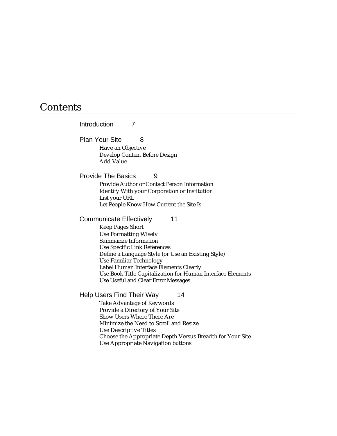### Contents

[Introduction 7](#page-6-0) [Plan Your Site 8](#page-7-0) Have an Objective Develop Content Before Design Add Value [Provide The Basics 9](#page-7-0) Provide Author or Contact Person Information Identify With your Corporation or Institution List your URL Let People Know How Current the Site Is [Communicate Effectively 11](#page-8-0) Keep Pages Short Use Formatting Wisely Summarize Information Use Specific Link References Define a Language Style (or Use an Existing Style) Use Familiar Technology Label Human Interface Elements Clearly Use Book Title Capitalization for Human Interface Elements Use Useful and Clear Error Messages [Help Users Find Their Way 14](#page-10-0) Take Advantage of Keywords Provide a Directory of Your Site Show Users Where There Are Minimize the Need to Scroll and Resize Use Descriptive Titles Choose the Appropriate Depth Versus Breadth for Your Site Use Appropriate Navigation buttons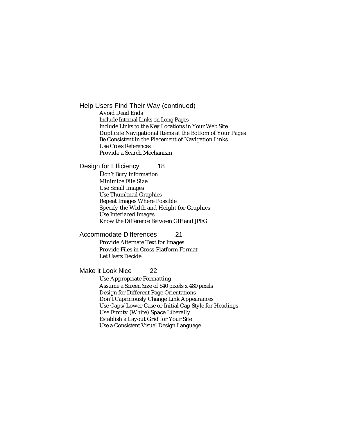Help Users Find Their Way (continued)

Avoid Dead Ends Include Internal Links on Long Pages Include Links to the Key Locations in Your Web Site Duplicate Navigational Items at the Bottom of Your Pages Be Consistent in the Placement of Navigation Links Use Cross References Provide a Search Mechanism

#### [Design for Efficiency 18](#page-17-0)

Don't Bury Information Minimize File Size Use Small Images Use Thumbnail Graphics Repeat Images Where Possible Specify the Width and Height for Graphics Use Interlaced Images Know the Difference Between GIF and JPEG

#### [Accommodate Differences 21](#page-20-0)

Provide Alternate Text for Images Provide Files in Cross-Platform Format Let Users Decide

#### [Make it Look Nice 22](#page-21-0)

Use Appropriate Formatting Assume a Screen Size of 640 pixels x 480 pixels Design for Different Page Orientations Don't Capriciously Change Link Appearances Use Caps/Lower Case or Initial Cap Style for Headings Use Empty (White) Space Liberally Establish a Layout Grid for Your Site Use a Consistent Visual Design Language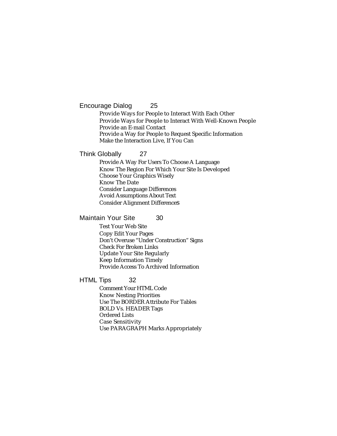[Encourage Dialog 25](#page-24-0)

Provide Ways for People to Interact With Each Other Provide Ways for People to Interact With Well-Known People Provide an E-mail Contact Provide a Way for People to Request Specific Information Make the Interaction Live, If You Can

[Think Globally 27](#page-26-0)

Provide A Way For Users To Choose A Language Know The Region For Which Your Site Is Developed Choose Your Graphics Wisely Know The Date Consider Language Differences Avoid Assumptions About Text Consider Alignment Differences

[Maintain Your Site 30](#page-29-0)

Test Your Web Site Copy Edit Your Pages Don't Overuse "Under Construction" Signs Check For Broken Links Update Your Site Regularly Keep Information Timely Provide Access To Archived Information

[HTML Tips 32](#page-31-0)

Comment Your HTML Code Know Nesting Priorities Use The BORDER Attribute For Tables BOLD Vs. HEADER Tags Ordered Lists Case Sensitivity Use PARAGRAPH Marks Appropriately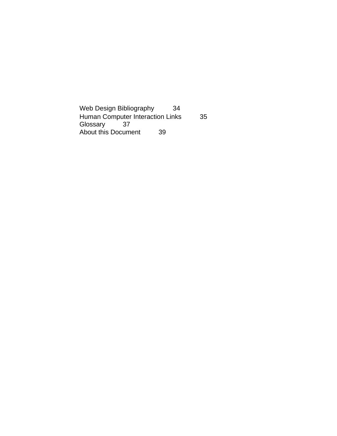[Web Design Bibliography 34](#page-33-0) [Human Computer Interaction Links 35](#page-34-0) [Glossary 37](#page-36-0) [About this Document 39](#page-38-0)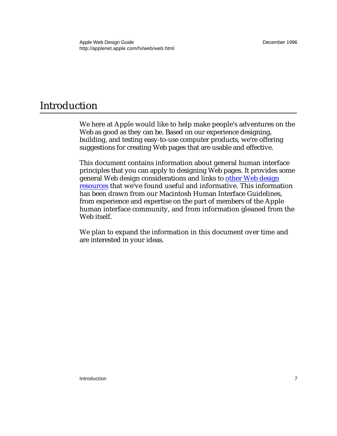# <span id="page-6-0"></span>Introduction

We here at Apple would like to help make people's adventures on the Web as good as they can be. Based on our experience designing, building, and testing easy-to-use computer products, we're offering suggestions for creating Web pages that are usable and effective.

This document contains information about general human interface principles that you can apply to designing Web pages. It provides some general Web design considerations and links to other Web design resources that we've found useful and informative. This information has been drawn from our Macintosh Human Interface Guidelines, from experience and expertise on the part of members of the Apple human interface community, and from information gleaned from the Web itself.

We plan to expand the information in this document over time and are interested in your ideas.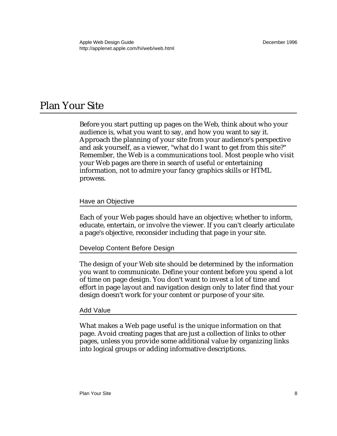### <span id="page-7-0"></span>Plan Your Site

Before you start putting up pages on the Web, think about who your audience is, what you want to say, and how you want to say it. Approach the planning of your site from your audience's perspective and ask yourself, as a viewer, "what do I want to get from this site?" Remember, the Web is a communications tool. Most people who visit your Web pages are there in search of useful or entertaining information, not to admire your fancy graphics skills or HTML prowess.

#### Have an Objective

Each of your Web pages should have an objective; whether to inform, educate, entertain, or involve the viewer. If you can't clearly articulate a page's objective, reconsider including that page in your site.

Develop Content Before Design

The design of your Web site should be determined by the information you want to communicate. Define your content before you spend a lot of time on page design. You don't want to invest a lot of time and effort in page layout and navigation design only to later find that your design doesn't work for your content or purpose of your site.

#### Add Value

What makes a Web page useful is the unique information on that page. Avoid creating pages that are just a collection of links to other pages, unless you provide some additional value by organizing links into logical groups or adding informative descriptions.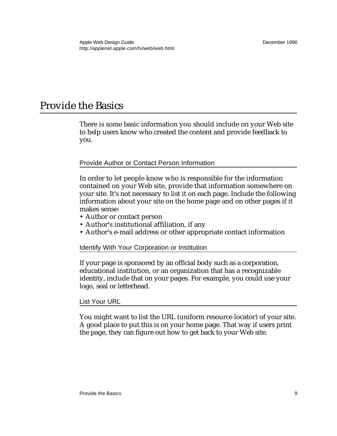### <span id="page-8-0"></span>Provide the Basics

There is some basic information you should include on your Web site to help users know who created the content and provide feedback to you.

Provide Author or Contact Person Information

In order to let people know who is responsible for the information contained on your Web site, provide that information somewhere on your site. It's not necessary to list it on each page. Include the following information about your site on the home page and on other pages if it makes sense:

- Author or contact person
- Author's institutional affiliation, if any
- Author's e-mail address or other appropriate contact information

#### Identify With Your Corporation or Institution

If your page is sponsored by an official body such as a corporation, educational institution, or an organization that has a recognizable identity, include that on your pages. For example, you could use your logo, seal or letterhead.

#### List Your URL

You might want to list the URL (uniform resource locator) of your site. A good place to put this is on your home page. That way if users print the page, they can figure out how to get back to your Web site.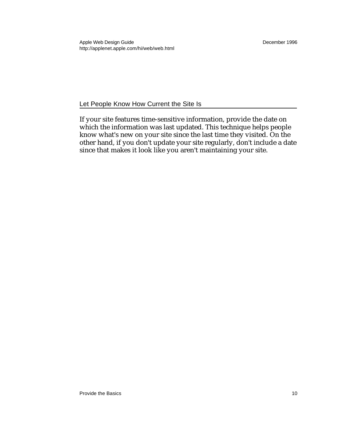#### Let People Know How Current the Site Is

If your site features time-sensitive information, provide the date on which the information was last updated. This technique helps people know what's new on your site since the last time they visited. On the other hand, if you don't update your site regularly, don't include a date since that makes it look like you aren't maintaining your site.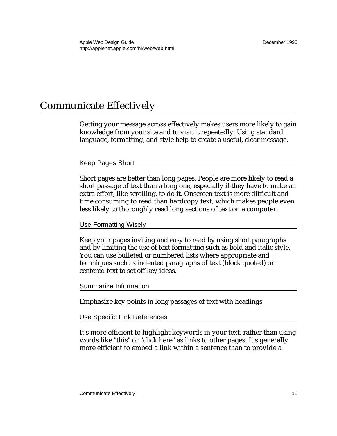# <span id="page-10-0"></span>Communicate Effectively

Getting your message across effectively makes users more likely to gain knowledge from your site and to visit it repeatedly. Using standard language, formatting, and style help to create a useful, clear message.

#### Keep Pages Short

Short pages are better than long pages. People are more likely to read a short passage of text than a long one, especially if they have to make an extra effort, like scrolling, to do it. Onscreen text is more difficult and time consuming to read than hardcopy text, which makes people even less likely to thoroughly read long sections of text on a computer.

Use Formatting Wisely

Keep your pages inviting and easy to read by using short paragraphs and by limiting the use of text formatting such as bold and italic style. You can use bulleted or numbered lists where appropriate and techniques such as indented paragraphs of text (block quoted) or centered text to set off key ideas.

Summarize Information

Emphasize key points in long passages of text with headings.

Use Specific Link References

It's more efficient to highlight keywords in your text, rather than using words like "this" or "click here" as links to other pages. It's generally more efficient to embed a link within a sentence than to provide a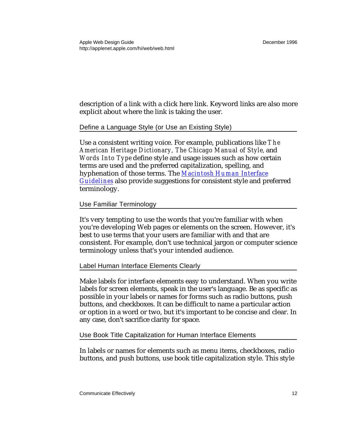description of a link with a click here link. Keyword links are also more explicit about where the link is taking the user.

Define a Language Style (or Use an Existing Style)

Use a consistent writing voice. For example, publications like *The American Heritage Dictionary, The Chicago Manual of Style,* and *Words Into Type* define style and usage issues such as how certain terms are used and the preferred capitalization, spelling, and hyphenation of those terms. The *Macintosh Human Interface Guidelines* also provide suggestions for consistent style and preferred terminology.

#### Use Familiar Terminology

It's very tempting to use the words that you're familiar with when you're developing Web pages or elements on the screen. However, it's best to use terms that your users are familiar with and that are consistent. For example, don't use technical jargon or computer science terminology unless that's your intended audience.

Label Human Interface Elements Clearly

Make labels for interface elements easy to understand. When you write labels for screen elements, speak in the user's language. Be as specific as possible in your labels or names for forms such as radio buttons, push buttons, and checkboxes. It can be difficult to name a particular action or option in a word or two, but it's important to be concise and clear. In any case, don't sacrifice clarity for space.

Use Book Title Capitalization for Human Interface Elements

In labels or names for elements such as menu items, checkboxes, radio buttons, and push buttons, use book title capitalization style. This style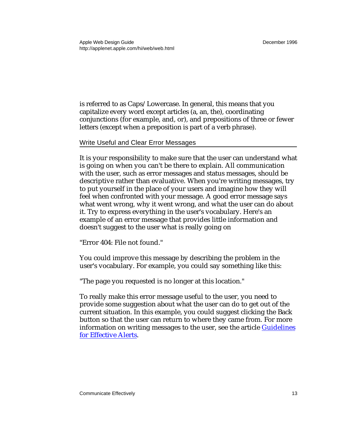is referred to as Caps/Lowercase. In general, this means that you capitalize every word except articles (a, an, the), coordinating conjunctions (for example, and, or), and prepositions of three or fewer letters (except when a preposition is part of a verb phrase).

#### Write Useful and Clear Error Messages

It is your responsibility to make sure that the user can understand what is going on when you can't be there to explain. All communication with the user, such as error messages and status messages, should be descriptive rather than evaluative. When you're writing messages, try to put yourself in the place of your users and imagine how they will feel when confronted with your message. A good error message says what went wrong, why it went wrong, and what the user can do about it. Try to express everything in the user's vocabulary. Here's an example of an error message that provides little information and doesn't suggest to the user what is really going on

"Error 404: File not found."

You could improve this message by describing the problem in the user's vocabulary. For example, you could say something like this:

"The page you requested is no longer at this location."

To really make this error message useful to the user, you need to provide some suggestion about what the user can do to get out of the current situation. In this example, you could suggest clicking the Back button so that the user can return to where they came from. For more information on writing messages to the user, see the article Guidelines for Effective Alerts.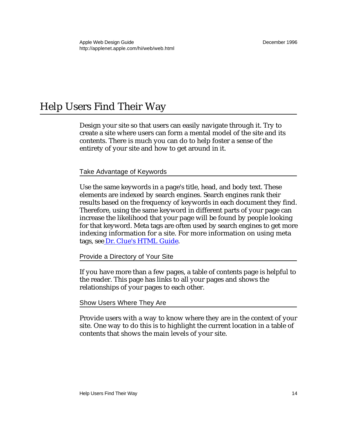# Help Users Find Their Way

Design your site so that users can easily navigate through it. Try to create a site where users can form a mental model of the site and its contents. There is much you can do to help foster a sense of the entirety of your site and how to get around in it.

Take Advantage of Keywords

Use the same keywords in a page's title, head, and body text. These elements are indexed by search engines. Search engines rank their results based on the frequency of keywords in each document they find. Therefore, using the same keyword in different parts of your page can increase the likelihood that your page will be found by people looking for that keyword. Meta tags are often used by search engines to get more indexing information for a site. For more information on using meta tags, see Dr. Clue's HTML Guide.

Provide a Directory of Your Site

If you have more than a few pages, a table of contents page is helpful to the reader. This page has links to all your pages and shows the relationships of your pages to each other.

Show Users Where They Are

Provide users with a way to know where they are in the context of your site. One way to do this is to highlight the current location in a table of contents that shows the main levels of your site.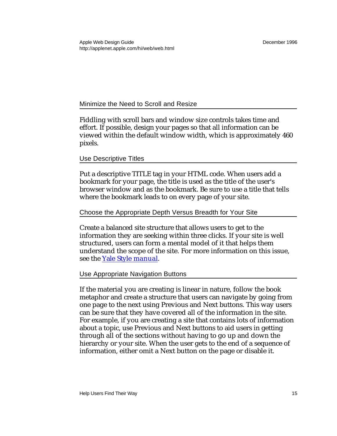#### Minimize the Need to Scroll and Resize

Fiddling with scroll bars and window size controls takes time and effort. If possible, design your pages so that all information can be viewed within the default window width, which is approximately 460 pixels.

#### Use Descriptive Titles

Put a descriptive TITLE tag in your HTML code. When users add a bookmark for your page, the title is used as the title of the user's browser window and as the bookmark. Be sure to use a title that tells where the bookmark leads to on every page of your site.

#### Choose the Appropriate Depth Versus Breadth for Your Site

Create a balanced site structure that allows users to get to the information they are seeking within three clicks. If your site is well structured, users can form a mental model of it that helps them understand the scope of the site. For more information on this issue, see the Yale Style manual.

#### Use Appropriate Navigation Buttons

If the material you are creating is linear in nature, follow the book metaphor and create a structure that users can navigate by going from one page to the next using Previous and Next buttons. This way users can be sure that they have covered all of the information in the site. For example, if you are creating a site that contains lots of information about a topic, use Previous and Next buttons to aid users in getting through all of the sections without having to go up and down the hierarchy or your site. When the user gets to the end of a sequence of information, either omit a Next button on the page or disable it.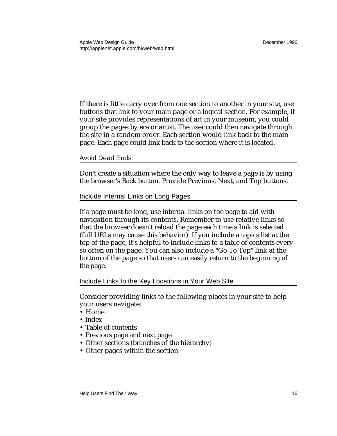If there is little carry over from one section to another in your site, use buttons that link to your main page or a logical section. For example, if your site provides representations of art in your museum, you could group the pages by era or artist. The user could then navigate through the site in a random order. Each section would link back to the main page. Each page could link back to the section where it is located.

#### Avoid Dead Ends

Don't create a situation where the only way to leave a page is by using the browser's Back button. Provide Previous, Next, and Top buttons.

#### Include Internal Links on Long Pages

If a page must be long, use internal links on the page to aid with navigation through its contents. Remember to use relative links so that the browser doesn't reload the page each time a link is selected (full URLs may cause this behavior). If you include a topics list at the top of the page, it's helpful to include links to a table of contents every so often on the page. You can also include a "Go To Top" link at the bottom of the page so that users can easily return to the beginning of the page.

#### Include Links to the Key Locations in Your Web Site

Consider providing links to the following places in your site to help your users navigate:

- Home
- Index
- Table of contents
- Previous page and next page
- Other sections (branches of the hierarchy)
- Other pages within the section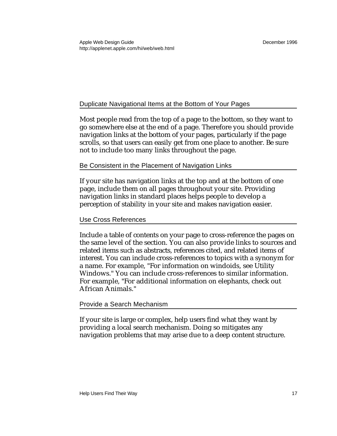#### Duplicate Navigational Items at the Bottom of Your Pages

Most people read from the top of a page to the bottom, so they want to go somewhere else at the end of a page. Therefore you should provide navigation links at the bottom of your pages, particularly if the page scrolls, so that users can easily get from one place to another. Be sure not to include too many links throughout the page.

#### Be Consistent in the Placement of Navigation Links

If your site has navigation links at the top and at the bottom of one page, include them on all pages throughout your site. Providing navigation links in standard places helps people to develop a perception of stability in your site and makes navigation easier.

#### Use Cross References

Include a table of contents on your page to cross-reference the pages on the same level of the section. You can also provide links to sources and related items such as abstracts, references cited, and related items of interest. You can include cross-references to topics with a synonym for a name. For example, "For information on windoids, see Utility Windows." You can include cross-references to similar information. For example, "For additional information on elephants, check out African Animals."

#### Provide a Search Mechanism

If your site is large or complex, help users find what they want by providing a local search mechanism. Doing so mitigates any navigation problems that may arise due to a deep content structure.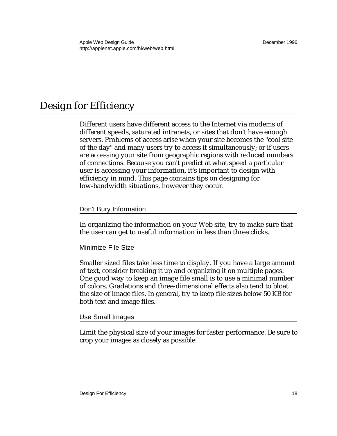# <span id="page-17-0"></span>Design for Efficiency

Different users have different access to the Internet via modems of different speeds, saturated intranets, or sites that don't have enough servers. Problems of access arise when your site becomes the "cool site of the day" and many users try to access it simultaneously; or if users are accessing your site from geographic regions with reduced numbers of connections. Because you can't predict at what speed a particular user is accessing your information, it's important to design with efficiency in mind. This page contains tips on designing for low-bandwidth situations, however they occur.

#### Don't Bury Information

In organizing the information on your Web site, try to make sure that the user can get to useful information in less than three clicks.

#### Minimize File Size

Smaller sized files take less time to display. If you have a large amount of text, consider breaking it up and organizing it on multiple pages. One good way to keep an image file small is to use a minimal number of colors. Gradations and three-dimensional effects also tend to bloat the size of image files. In general, try to keep file sizes below 50 KB for both text and image files.

#### Use Small Images

Limit the physical size of your images for faster performance. Be sure to crop your images as closely as possible.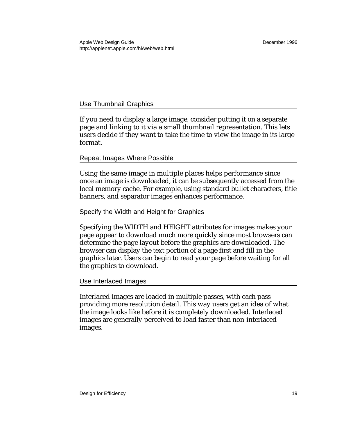#### Use Thumbnail Graphics

If you need to display a large image, consider putting it on a separate page and linking to it via a small thumbnail representation. This lets users decide if they want to take the time to view the image in its large format.

#### Repeat Images Where Possible

Using the same image in multiple places helps performance since once an image is downloaded, it can be subsequently accessed from the local memory cache. For example, using standard bullet characters, title banners, and separator images enhances performance.

#### Specify the Width and Height for Graphics

Specifying the WIDTH and HEIGHT attributes for images makes your page appear to download much more quickly since most browsers can determine the page layout before the graphics are downloaded. The browser can display the text portion of a page first and fill in the graphics later. Users can begin to read your page before waiting for all the graphics to download.

#### Use Interlaced Images

Interlaced images are loaded in multiple passes, with each pass providing more resolution detail. This way users get an idea of what the image looks like before it is completely downloaded. Interlaced images are generally perceived to load faster than non-interlaced images.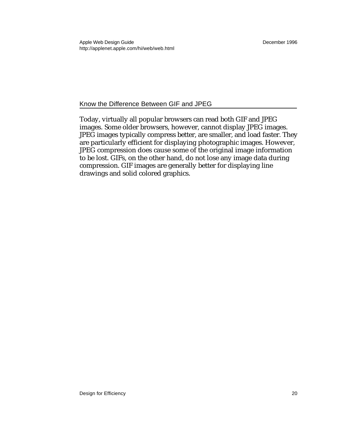#### Know the Difference Between GIF and JPEG

Today, virtually all popular browsers can read both GIF and JPEG images. Some older browsers, however, cannot display JPEG images. JPEG images typically compress better, are smaller, and load faster. They are particularly efficient for displaying photographic images. However, JPEG compression does cause some of the original image information to be lost. GIFs, on the other hand, do not lose any image data during compression. GIF images are generally better for displaying line drawings and solid colored graphics.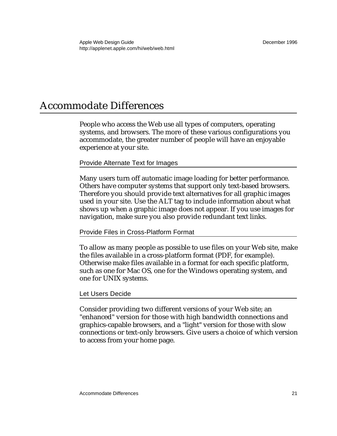# <span id="page-20-0"></span>Accommodate Differences

People who access the Web use all types of computers, operating systems, and browsers. The more of these various configurations you accommodate, the greater number of people will have an enjoyable experience at your site.

#### Provide Alternate Text for Images

Many users turn off automatic image loading for better performance. Others have computer systems that support only text-based browsers. Therefore you should provide text alternatives for all graphic images used in your site. Use the ALT tag to include information about what shows up when a graphic image does not appear. If you use images for navigation, make sure you also provide redundant text links.

#### Provide Files in Cross-Platform Format

To allow as many people as possible to use files on your Web site, make the files available in a cross-platform format (PDF, for example). Otherwise make files available in a format for each specific platform, such as one for Mac OS, one for the Windows operating system, and one for UNIX systems.

#### Let Users Decide

Consider providing two different versions of your Web site; an "enhanced" version for those with high bandwidth connections and graphics-capable browsers, and a "light" version for those with slow connections or text-only browsers. Give users a choice of which version to access from your home page.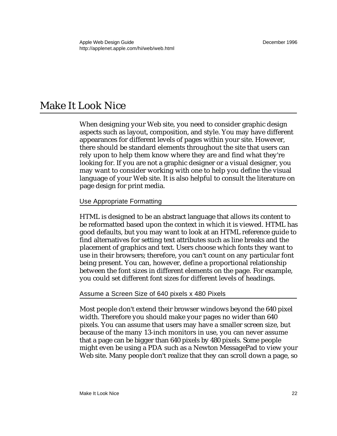### <span id="page-21-0"></span>Make It Look Nice

When designing your Web site, you need to consider graphic design aspects such as layout, composition, and style. You may have different appearances for different levels of pages within your site. However, there should be standard elements throughout the site that users can rely upon to help them know where they are and find what they're looking for. If you are not a graphic designer or a visual designer, you may want to consider working with one to help you define the visual language of your Web site. It is also helpful to consult the literature on page design for print media.

#### Use Appropriate Formatting

HTML is designed to be an abstract language that allows its content to be reformatted based upon the context in which it is viewed. HTML has good defaults, but you may want to look at an HTML reference guide to find alternatives for setting text attributes such as line breaks and the placement of graphics and text. Users choose which fonts they want to use in their browsers; therefore, you can't count on any particular font being present. You can, however, define a proportional relationship between the font sizes in different elements on the page. For example, you could set different font sizes for different levels of headings.

#### Assume a Screen Size of 640 pixels x 480 Pixels

Most people don't extend their browser windows beyond the 640 pixel width. Therefore you should make your pages no wider than 640 pixels. You can assume that users may have a smaller screen size, but because of the many 13-inch monitors in use, you can never assume that a page can be bigger than 640 pixels by 480 pixels. Some people might even be using a PDA such as a Newton MessagePad to view your Web site. Many people don't realize that they can scroll down a page, so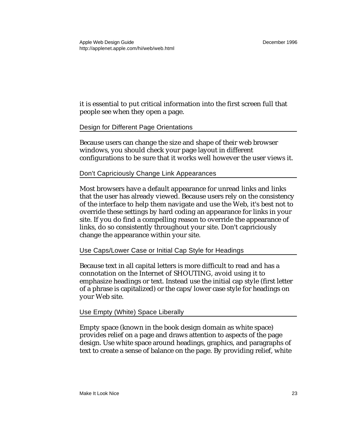it is essential to put critical information into the first screen full that people see when they open a page.

Design for Different Page Orientations

Because users can change the size and shape of their web browser windows, you should check your page layout in different configurations to be sure that it works well however the user views it.

#### Don't Capriciously Change Link Appearances

Most browsers have a default appearance for unread links and links that the user has already viewed. Because users rely on the consistency of the interface to help them navigate and use the Web, it's best not to override these settings by hard coding an appearance for links in your site. If you do find a compelling reason to override the appearance of links, do so consistently throughout your site. Don't capriciously change the appearance within your site.

#### Use Caps/Lower Case or Initial Cap Style for Headings

Because text in all capital letters is more difficult to read and has a connotation on the Internet of SHOUTING, avoid using it to emphasize headings or text. Instead use the initial cap style (first letter of a phrase is capitalized) or the caps/lower case style for headings on your Web site.

#### Use Empty (White) Space Liberally

Empty space (known in the book design domain as white space) provides relief on a page and draws attention to aspects of the page design. Use white space around headings, graphics, and paragraphs of text to create a sense of balance on the page. By providing relief, white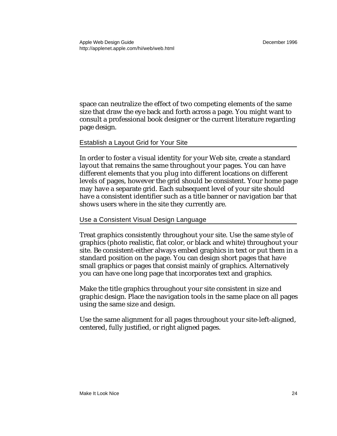space can neutralize the effect of two competing elements of the same size that draw the eye back and forth across a page. You might want to consult a professional book designer or the current literature regarding page design.

#### Establish a Layout Grid for Your Site

In order to foster a visual identity for your Web site, create a standard layout that remains the same throughout your pages. You can have different elements that you plug into different locations on different levels of pages, however the grid should be consistent. Your home page may have a separate grid. Each subsequent level of your site should have a consistent identifier such as a title banner or navigation bar that shows users where in the site they currently are.

#### Use a Consistent Visual Design Language

Treat graphics consistently throughout your site. Use the same style of graphics (photo realistic, flat color, or black and white) throughout your site. Be consistent-either always embed graphics in text or put them in a standard position on the page. You can design short pages that have small graphics or pages that consist mainly of graphics. Alternatively you can have one long page that incorporates text and graphics.

Make the title graphics throughout your site consistent in size and graphic design. Place the navigation tools in the same place on all pages using the same size and design.

Use the same alignment for all pages throughout your site-left-aligned, centered, fully justified, or right aligned pages.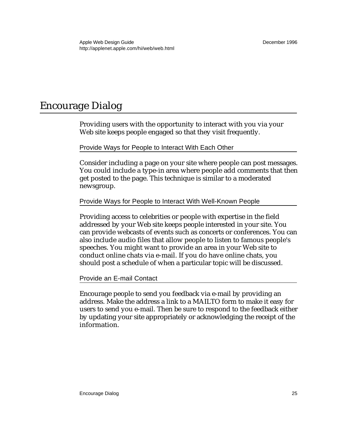# <span id="page-24-0"></span>Encourage Dialog

Providing users with the opportunity to interact with you via your Web site keeps people engaged so that they visit frequently.

#### Provide Ways for People to Interact With Each Other

Consider including a page on your site where people can post messages. You could include a type-in area where people add comments that then get posted to the page. This technique is similar to a moderated newsgroup.

#### Provide Ways for People to Interact With Well-Known People

Providing access to celebrities or people with expertise in the field addressed by your Web site keeps people interested in your site. You can provide webcasts of events such as concerts or conferences. You can also include audio files that allow people to listen to famous people's speeches. You might want to provide an area in your Web site to conduct online chats via e-mail. If you do have online chats, you should post a schedule of when a particular topic will be discussed.

Provide an E-mail Contact

Encourage people to send you feedback via e-mail by providing an address. Make the address a link to a MAILTO form to make it easy for users to send you e-mail. Then be sure to respond to the feedback either by updating your site appropriately or acknowledging the receipt of the information.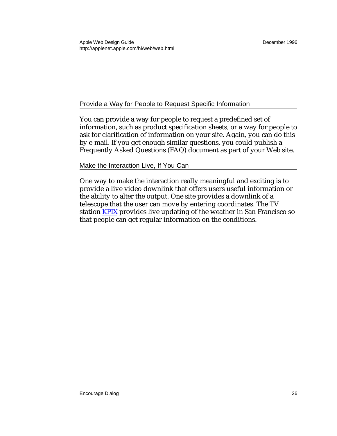#### Provide a Way for People to Request Specific Information

You can provide a way for people to request a predefined set of information, such as product specification sheets, or a way for people to ask for clarification of information on your site. Again, you can do this by e-mail. If you get enough similar questions, you could publish a Frequently Asked Questions (FAQ) document as part of your Web site.

#### Make the Interaction Live, If You Can

One way to make the interaction really meaningful and exciting is to provide a live video downlink that offers users useful information or the ability to alter the output. One site provides a downlink of a telescope that the user can move by entering coordinates. The TV station KPIX provides live updating of the weather in San Francisco so that people can get regular information on the conditions.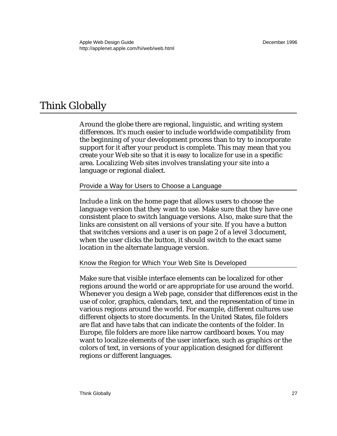# <span id="page-26-0"></span>Think Globally

Around the globe there are regional, linguistic, and writing system differences. It's much easier to include worldwide compatibility from the beginning of your development process than to try to incorporate support for it after your product is complete. This may mean that you create your Web site so that it is easy to localize for use in a specific area. Localizing Web sites involves translating your site into a language or regional dialect.

#### Provide a Way for Users to Choose a Language

Include a link on the home page that allows users to choose the language version that they want to use. Make sure that they have one consistent place to switch language versions. Also, make sure that the links are consistent on all versions of your site. If you have a button that switches versions and a user is on page 2 of a level 3 document, when the user clicks the button, it should switch to the exact same location in the alternate language version.

#### Know the Region for Which Your Web Site Is Developed

Make sure that visible interface elements can be localized for other regions around the world or are appropriate for use around the world. Whenever you design a Web page, consider that differences exist in the use of color, graphics, calendars, text, and the representation of time in various regions around the world. For example, different cultures use different objects to store documents. In the United States, file folders are flat and have tabs that can indicate the contents of the folder. In Europe, file folders are more like narrow cardboard boxes. You may want to localize elements of the user interface, such as graphics or the colors of text, in versions of your application designed for different regions or different languages.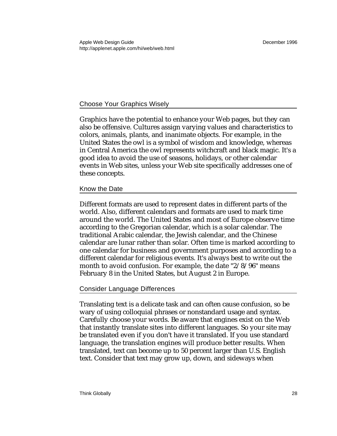#### Choose Your Graphics Wisely

Graphics have the potential to enhance your Web pages, but they can also be offensive. Cultures assign varying values and characteristics to colors, animals, plants, and inanimate objects. For example, in the United States the owl is a symbol of wisdom and knowledge, whereas in Central America the owl represents witchcraft and black magic. It's a good idea to avoid the use of seasons, holidays, or other calendar events in Web sites, unless your Web site specifically addresses one of these concepts.

#### Know the Date

Different formats are used to represent dates in different parts of the world. Also, different calendars and formats are used to mark time around the world. The United States and most of Europe observe time according to the Gregorian calendar, which is a solar calendar. The traditional Arabic calendar, the Jewish calendar, and the Chinese calendar are lunar rather than solar. Often time is marked according to one calendar for business and government purposes and according to a different calendar for religious events. It's always best to write out the month to avoid confusion. For example, the date "2/8/96" means February 8 in the United States, but August 2 in Europe.

#### Consider Language Differences

Translating text is a delicate task and can often cause confusion, so be wary of using colloquial phrases or nonstandard usage and syntax. Carefully choose your words. Be aware that engines exist on the Web that instantly translate sites into different languages. So your site may be translated even if you don't have it translated. If you use standard language, the translation engines will produce better results. When translated, text can become up to 50 percent larger than U.S. English text. Consider that text may grow up, down, and sideways when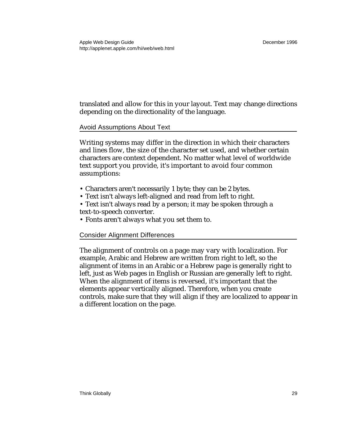translated and allow for this in your layout. Text may change directions depending on the directionality of the language.

Avoid Assumptions About Text

Writing systems may differ in the direction in which their characters and lines flow, the size of the character set used, and whether certain characters are context dependent. No matter what level of worldwide text support you provide, it's important to avoid four common assumptions:

- Characters aren't necessarily 1 byte; they can be 2 bytes.
- Text isn't always left-aligned and read from left to right.
- Text isn't always read by a person; it may be spoken through a text-to-speech converter.
- Fonts aren't always what you set them to.

#### Consider Alignment Differences

The alignment of controls on a page may vary with localization. For example, Arabic and Hebrew are written from right to left, so the alignment of items in an Arabic or a Hebrew page is generally right to left, just as Web pages in English or Russian are generally left to right. When the alignment of items is reversed, it's important that the elements appear vertically aligned. Therefore, when you create controls, make sure that they will align if they are localized to appear in a different location on the page.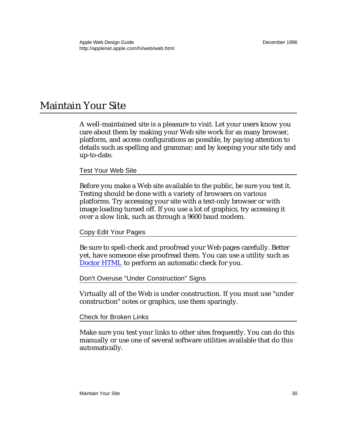### <span id="page-29-0"></span>Maintain Your Site

A well-maintained site is a pleasure to visit. Let your users know you care about them by making your Web site work for as many browser, platform, and access configurations as possible, by paying attention to details such as spelling and grammar; and by keeping your site tidy and up-to-date.

#### Test Your Web Site

Before you make a Web site available to the public, be sure you test it. Testing should be done with a variety of browsers on various platforms. Try accessing your site with a text-only browser or with image loading turned off. If you use a lot of graphics, try accessing it over a slow link, such as through a 9600 baud modem.

Copy Edit Your Pages

Be sure to spell-check and proofread your Web pages carefully. Better yet, have someone else proofread them. You can use a utility such as Doctor HTML to perform an automatic check for you.

Don't Overuse "Under Construction" Signs

Virtually all of the Web is under construction. If you must use "under construction" notes or graphics, use them sparingly.

Check for Broken Links

Make sure you test your links to other sites frequently. You can do this manually or use one of several software utilities available that do this automatically.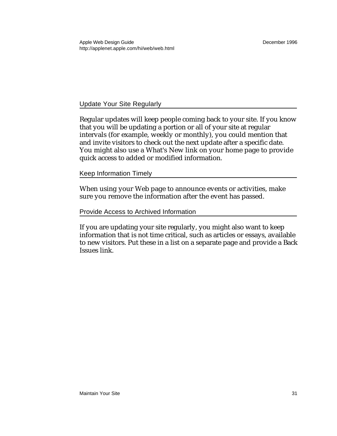#### Update Your Site Regularly

Regular updates will keep people coming back to your site. If you know that you will be updating a portion or all of your site at regular intervals (for example, weekly or monthly), you could mention that and invite visitors to check out the next update after a specific date. You might also use a What's New link on your home page to provide quick access to added or modified information.

#### Keep Information Timely

When using your Web page to announce events or activities, make sure you remove the information after the event has passed.

#### Provide Access to Archived Information

If you are updating your site regularly, you might also want to keep information that is not time critical, such as articles or essays, available to new visitors. Put these in a list on a separate page and provide a Back Issues link.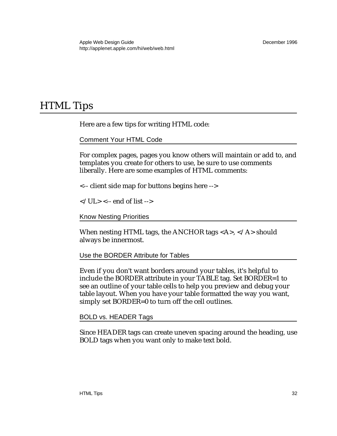# <span id="page-31-0"></span>HTML Tips

Here are a few tips for writing HTML code:

Comment Your HTML Code

For complex pages, pages you know others will maintain or add to, and templates you create for others to use, be sure to use comments liberally. Here are some examples of HTML comments:

<-- client side map for buttons begins here -->

 $\langle$  /UL $>$  < -- end of list -- $>$ 

Know Nesting Priorities

When nesting HTML tags, the ANCHOR tags <A>, </A> should always be innermost.

Use the BORDER Attribute for Tables

Even if you don't want borders around your tables, it's helpful to include the BORDER attribute in your TABLE tag. Set BORDER=1 to see an outline of your table cells to help you preview and debug your table layout. When you have your table formatted the way you want, simply set BORDER=0 to turn off the cell outlines.

BOLD vs. HEADER Tags

Since HEADER tags can create uneven spacing around the heading, use BOLD tags when you want only to make text bold.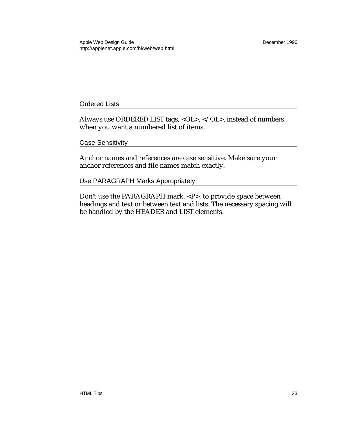Ordered Lists

Always use ORDERED LIST tags, <OL>, </OL>, instead of numbers when you want a numbered list of items.

Case Sensitivity

Anchor names and references are case sensitive. Make sure your anchor references and file names match exactly.

Use PARAGRAPH Marks Appropriately

Don't use the PARAGRAPH mark, <P>, to provide space between headings and text or between text and lists. The necessary spacing will be handled by the HEADER and LIST elements.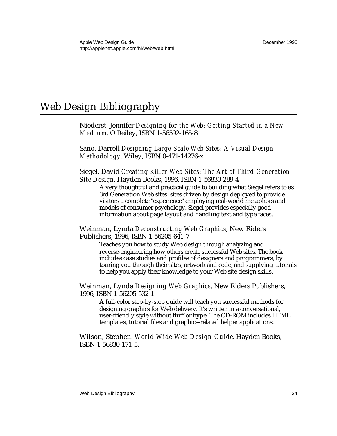# <span id="page-33-0"></span>Web Design Bibliography

Niederst, Jennifer *Designing for the Web: Getting Started in a New Medium*, O'Reiley, ISBN 1-56592-165-8

Sano, Darrell *Designing Large-Scale Web Sites: A Visual Design Methodology*, Wiley, ISBN 0-471-14276-x

Siegel, David *Creating Killer Web Sites: The Art of Third-Generation Site Design*, Hayden Books, 1996, ISBN 1-56830-289-4

A very thoughtful and practical guide to building what Siegel refers to as 3rd Generation Web sites: sites driven by design deployed to provide visitors a complete "experience" employing real-world metaphors and models of consumer psychology. Siegel provides especially good information about page layout and handling text and type faces.

Weinman, Lynda *Deconstructing Web Graphics*, New Riders Publishers, 1996, ISBN 1-56205-641-7

> Teaches you how to study Web design through analyzing and reverse-engineering how others create successful Web sites. The book includes case studies and profiles of designers and programmers, by touring you through their sites, artwork and code, and supplying tutorials to help you apply their knowledge to your Web site design skills.

Weinman, Lynda *Designing Web Graphics*, New Riders Publishers, 1996, ISBN 1-56205-532-1

A full-color step-by-step guide will teach you successful methods for designing graphics for Web delivery. It's written in a conversational, user-friendly style without fluff or hype. The CD-ROM includes HTML templates, tutorial files and graphics-related helper applications.

Wilson, Stephen. *World Wide Web Design Guide*, Hayden Books, ISBN 1-56830-171-5.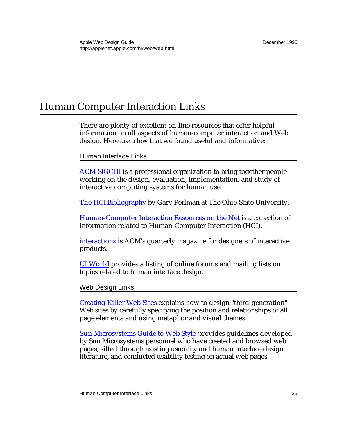# <span id="page-34-0"></span>Human Computer Interaction Links

There are plenty of excellent on-line resources that offer helpful information on all aspects of human-computer interaction and Web design. Here are a few that we found useful and informative:

Human Interface Links

ACM SIGCHI is a professional organization to bring together people working on the design, evaluation, implementation, and study of interactive computing systems for human use.

The HCI Bibliography by Gary Perlman at The Ohio State University.

Human-Computer Interaction Resources on the Net is a collection of information related to Human-Computer Interaction (HCI).

interactions is ACM's quarterly magazine for designers of interactive products.

UI World provides a listing of online forums and mailing lists on topics related to human interface design.

Web Design Links

Creating Killer Web Sites explains how to design "third-generation" Web sites by carefully specifying the position and relationships of all page elements and using metaphor and visual themes.

Sun Microsystems Guide to Web Style provides guidelines developed by Sun Microsystems personnel who have created and browsed web pages, sifted through existing usability and human interface design literature, and conducted usability testing on actual web pages.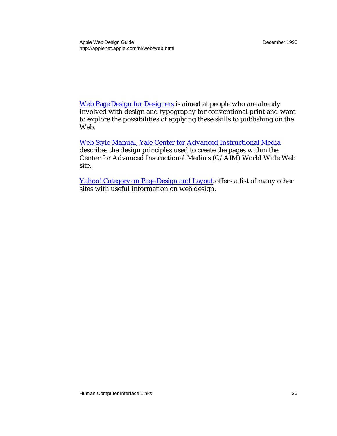Web Page Design for Designers is aimed at people who are already involved with design and typography for conventional print and want to explore the possibilities of applying these skills to publishing on the Web.

Web Style Manual, Yale Center for Advanced Instructional Media describes the design principles used to create the pages within the Center for Advanced Instructional Media's (C/AIM) World Wide Web site.

Yahoo! Category on Page Design and Layout offers a list of many other sites with useful information on web design.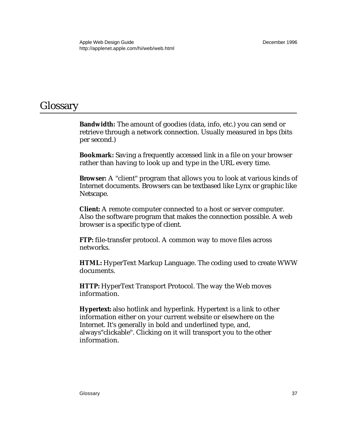### <span id="page-36-0"></span>**Glossary**

**Bandwidth:** The amount of goodies (data, info, etc.) you can send or retrieve through a network connection. Usually measured in bps (bits per second.)

**Bookmark:** Saving a frequently accessed link in a file on your browser rather than having to look up and type in the URL every time.

**Browser:** A "client" program that allows you to look at various kinds of Internet documents. Browsers can be textbased like Lynx or graphic like Netscape.

**Client:** A remote computer connected to a host or server computer. Also the software program that makes the connection possible. A web browser is a specific type of client.

**FTP:** file-transfer protocol. A common way to move files across networks.

**HTML:** HyperText Markup Language. The coding used to create WWW documents.

**HTTP:** HyperText Transport Protocol. The way the Web moves information.

**Hypertext:** also hotlink and hyperlink. Hypertext is a link to other information either on your current website or elsewhere on the Internet. It's generally in bold and underlined type, and, always"clickable". Clicking on it will transport you to the other information.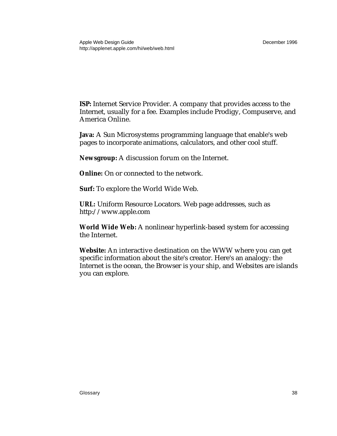**ISP:** Internet Service Provider. A company that provides access to the Internet, usually for a fee. Examples include Prodigy, Compuserve, and America Online.

**Java:** A Sun Microsystems programming language that enable's web pages to incorporate animations, calculators, and other cool stuff.

**Newsgroup:** A discussion forum on the Internet.

**Online:** On or connected to the network.

**Surf:** To explore the World Wide Web.

**URL:** Uniform Resource Locators. Web page addresses, such as http://www.apple.com

**World Wide Web:** A nonlinear hyperlink-based system for accessing the Internet.

**Website:** An interactive destination on the WWW where you can get specific information about the site's creator. Here's an analogy: the Internet is the ocean, the Browser is your ship, and Websites are islands you can explore.